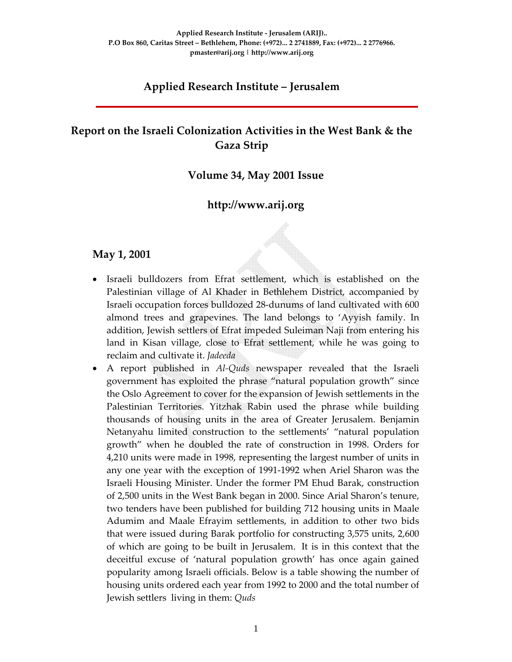# **Applied Research Institute – Jerusalem**

# **Report on the Israeli Colonization Activities in the West Bank & the Gaza Strip**

#### **Volume 34, May 2001 Issue**

## **http://www.arij.org**

#### **May 1, 2001**

- Israeli bulldozers from Efrat settlement, which is established on the Palestinian village of Al Khader in Bethlehem District, accompanied by Israeli occupation forces bulldozed 28‐dunums of land cultivated with 600 almond trees and grapevines. The land belongs to 'Ayyish family. In addition, Jewish settlers of Efrat impeded Suleiman Naji from entering his land in Kisan village, close to Efrat settlement, while he was going to reclaim and cultivate it. *Jadeeda*
- A report published in *Al‐Quds* newspaper revealed that the Israeli government has exploited the phrase "natural population growth" since the Oslo Agreement to cover for the expansion of Jewish settlements in the Palestinian Territories. Yitzhak Rabin used the phrase while building thousands of housing units in the area of Greater Jerusalem. Benjamin Netanyahu limited construction to the settlements' "natural population growth" when he doubled the rate of construction in 1998. Orders for 4,210 units were made in 1998, representing the largest number of units in any one year with the exception of 1991‐1992 when Ariel Sharon was the Israeli Housing Minister. Under the former PM Ehud Barak, construction of 2,500 units in the West Bank began in 2000. Since Arial Sharon's tenure, two tenders have been published for building 712 housing units in Maale Adumim and Maale Efrayim settlements, in addition to other two bids that were issued during Barak portfolio for constructing 3,575 units, 2,600 of which are going to be built in Jerusalem. It is in this context that the deceitful excuse of 'natural population growth' has once again gained popularity among Israeli officials. Below is a table showing the number of housing units ordered each year from 1992 to 2000 and the total number of Jewish settlers living in them: *Quds*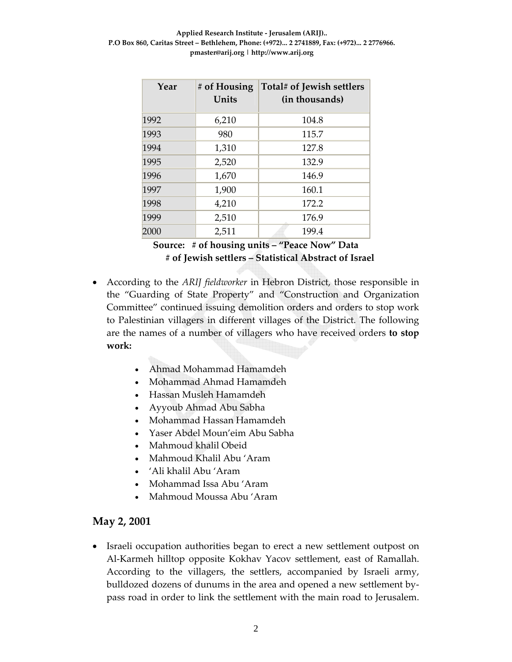| Year | # of Housing<br>Units | Total# of Jewish settlers<br>(in thousands) |
|------|-----------------------|---------------------------------------------|
| 1992 | 6,210                 | 104.8                                       |
| 1993 | 980                   | 115.7                                       |
| 1994 | 1,310                 | 127.8                                       |
| 1995 | 2,520                 | 132.9                                       |
| 1996 | 1,670                 | 146.9                                       |
| 1997 | 1,900                 | 160.1                                       |
| 1998 | 4,210                 | 172.2                                       |
| 1999 | 2,510                 | 176.9                                       |
| 2000 | 2,511                 | 199.4                                       |

**Source: # of housing units – "Peace Now" Data # of Jewish settlers – Statistical Abstract of Israel**

- According to the *ARIJ fieldworker* in Hebron District, those responsible in the "Guarding of State Property" and "Construction and Organization Committee" continued issuing demolition orders and orders to stop work to Palestinian villagers in different villages of the District. The following are the names of a number of villagers who have received orders **to stop work:**
	- Ahmad Mohammad Hamamdeh
	- Mohammad Ahmad Hamamdeh
	- Hassan Musleh Hamamdeh
	- Ayyoub Ahmad Abu Sabha
	- Mohammad Hassan Hamamdeh
	- Yaser Abdel Moun'eim Abu Sabha
	- Mahmoud khalil Obeid
	- Mahmoud Khalil Abu 'Aram
	- 'Ali khalil Abu 'Aram
	- Mohammad Issa Abu 'Aram
	- Mahmoud Moussa Abu 'Aram

#### **May 2, 2001**

• Israeli occupation authorities began to erect a new settlement outpost on Al‐Karmeh hilltop opposite Kokhav Yacov settlement, east of Ramallah. According to the villagers, the settlers, accompanied by Israeli army, bulldozed dozens of dunums in the area and opened a new settlement by‐ pass road in order to link the settlement with the main road to Jerusalem.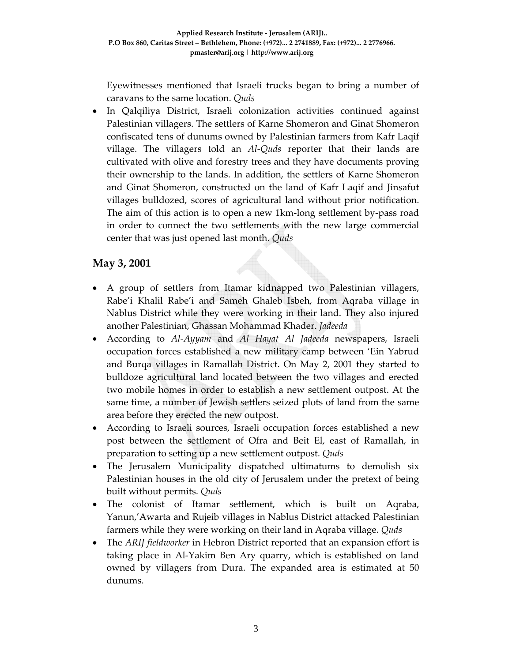Eyewitnesses mentioned that Israeli trucks began to bring a number of caravans to the same location. *Quds*

• In Qalqiliya District, Israeli colonization activities continued against Palestinian villagers. The settlers of Karne Shomeron and Ginat Shomeron confiscated tens of dunums owned by Palestinian farmers from Kafr Laqif village. The villagers told an *Al‐Quds* reporter that their lands are cultivated with olive and forestry trees and they have documents proving their ownership to the lands. In addition, the settlers of Karne Shomeron and Ginat Shomeron, constructed on the land of Kafr Laqif and Jinsafut villages bulldozed, scores of agricultural land without prior notification. The aim of this action is to open a new 1km‐long settlement by‐pass road in order to connect the two settlements with the new large commercial center that was just opened last month. *Quds*

### **May 3, 2001**

- A group of settlers from Itamar kidnapped two Palestinian villagers, Rabe'i Khalil Rabe'i and Sameh Ghaleb Isbeh, from Aqraba village in Nablus District while they were working in their land. They also injured another Palestinian, Ghassan Mohammad Khader. *Jadeeda*
- According to *Al‐Ayyam* and *Al Hayat Al Jadeeda* newspapers, Israeli occupation forces established a new military camp between 'Ein Yabrud and Burqa villages in Ramallah District. On May 2, 2001 they started to bulldoze agricultural land located between the two villages and erected two mobile homes in order to establish a new settlement outpost. At the same time, a number of Jewish settlers seized plots of land from the same area before they erected the new outpost.
- According to Israeli sources, Israeli occupation forces established a new post between the settlement of Ofra and Beit El, east of Ramallah, in preparation to setting up a new settlement outpost. *Quds*
- The Jerusalem Municipality dispatched ultimatums to demolish six Palestinian houses in the old city of Jerusalem under the pretext of being built without permits. *Quds*
- The colonist of Itamar settlement, which is built on Aqraba, Yanun,'Awarta and Rujeib villages in Nablus District attacked Palestinian farmers while they were working on their land in Aqraba village. *Quds*
- The *ARIJ fieldworker* in Hebron District reported that an expansion effort is taking place in Al‐Yakim Ben Ary quarry, which is established on land owned by villagers from Dura. The expanded area is estimated at 50 dunums.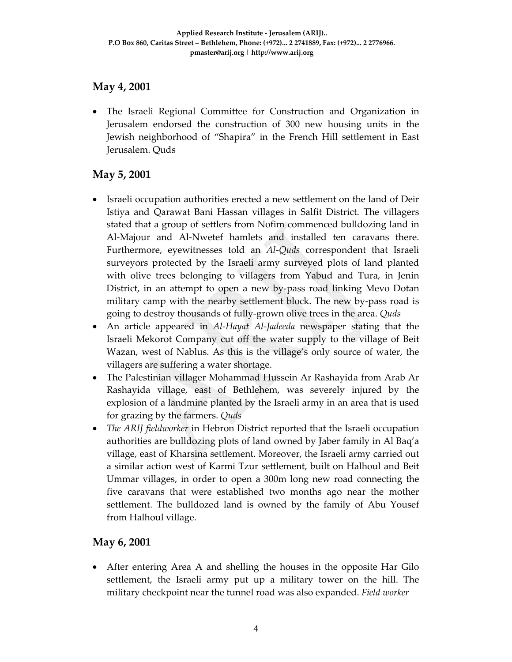#### **May 4, 2001**

• The Israeli Regional Committee for Construction and Organization in Jerusalem endorsed the construction of 300 new housing units in the Jewish neighborhood of "Shapira" in the French Hill settlement in East Jerusalem. Quds

### **May 5, 2001**

- Israeli occupation authorities erected a new settlement on the land of Deir Istiya and Qarawat Bani Hassan villages in Salfit District. The villagers stated that a group of settlers from Nofim commenced bulldozing land in Al‐Majour and Al‐Nwetef hamlets and installed ten caravans there. Furthermore, eyewitnesses told an *Al‐Quds* correspondent that Israeli surveyors protected by the Israeli army surveyed plots of land planted with olive trees belonging to villagers from Yabud and Tura, in Jenin District, in an attempt to open a new by‐pass road linking Mevo Dotan military camp with the nearby settlement block. The new by-pass road is going to destroy thousands of fully‐grown olive trees in the area. *Quds*
- An article appeared in *Al‐Hayat Al‐Jadeeda* newspaper stating that the Israeli Mekorot Company cut off the water supply to the village of Beit Wazan, west of Nablus. As this is the village's only source of water, the villagers are suffering a water shortage.
- The Palestinian villager Mohammad Hussein Ar Rashayida from Arab Ar Rashayida village, east of Bethlehem, was severely injured by the explosion of a landmine planted by the Israeli army in an area that is used for grazing by the farmers. *Quds*
- *The ARIJ fieldworker* in Hebron District reported that the Israeli occupation authorities are bulldozing plots of land owned by Jaber family in Al Baq'a village, east of Kharsina settlement. Moreover, the Israeli army carried out a similar action west of Karmi Tzur settlement, built on Halhoul and Beit Ummar villages, in order to open a 300m long new road connecting the five caravans that were established two months ago near the mother settlement. The bulldozed land is owned by the family of Abu Yousef from Halhoul village.

#### **May 6, 2001**

• After entering Area A and shelling the houses in the opposite Har Gilo settlement, the Israeli army put up a military tower on the hill. The military checkpoint near the tunnel road was also expanded. *Field worker*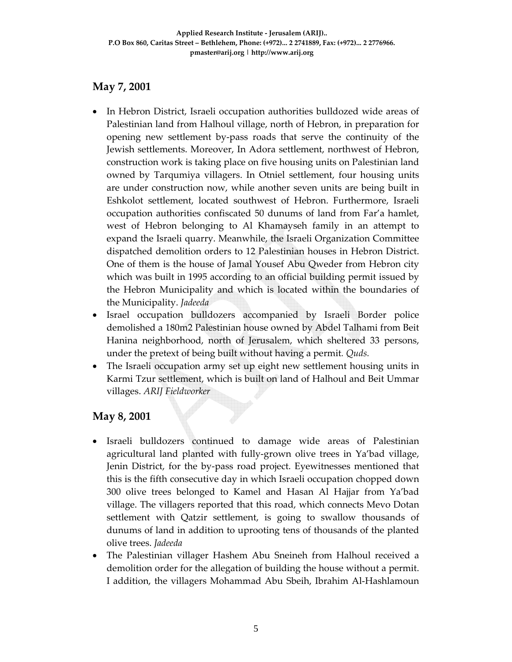### **May 7, 2001**

- In Hebron District, Israeli occupation authorities bulldozed wide areas of Palestinian land from Halhoul village, north of Hebron, in preparation for opening new settlement by‐pass roads that serve the continuity of the Jewish settlements. Moreover, In Adora settlement, northwest of Hebron, construction work is taking place on five housing units on Palestinian land owned by Tarqumiya villagers. In Otniel settlement, four housing units are under construction now, while another seven units are being built in Eshkolot settlement, located southwest of Hebron. Furthermore, Israeli occupation authorities confiscated 50 dunums of land from Far'a hamlet, west of Hebron belonging to Al Khamayseh family in an attempt to expand the Israeli quarry. Meanwhile, the Israeli Organization Committee dispatched demolition orders to 12 Palestinian houses in Hebron District. One of them is the house of Jamal Yousef Abu Qweder from Hebron city which was built in 1995 according to an official building permit issued by the Hebron Municipality and which is located within the boundaries of the Municipality. *Jadeeda*
- Israel occupation bulldozers accompanied by Israeli Border police demolished a 180m2 Palestinian house owned by Abdel Talhami from Beit Hanina neighborhood, north of Jerusalem, which sheltered 33 persons, under the pretext of being built without having a permit*. Quds.*
- The Israeli occupation army set up eight new settlement housing units in Karmi Tzur settlement, which is built on land of Halhoul and Beit Ummar villages. *ARIJ Fieldworker*

### **May 8, 2001**

- Israeli bulldozers continued to damage wide areas of Palestinian agricultural land planted with fully‐grown olive trees in Ya'bad village, Jenin District, for the by‐pass road project. Eyewitnesses mentioned that this is the fifth consecutive day in which Israeli occupation chopped down 300 olive trees belonged to Kamel and Hasan Al Hajjar from Ya'bad village. The villagers reported that this road, which connects Mevo Dotan settlement with Qatzir settlement, is going to swallow thousands of dunums of land in addition to uprooting tens of thousands of the planted olive trees. *Jadeeda*
- The Palestinian villager Hashem Abu Sneineh from Halhoul received a demolition order for the allegation of building the house without a permit. I addition, the villagers Mohammad Abu Sbeih, Ibrahim Al‐Hashlamoun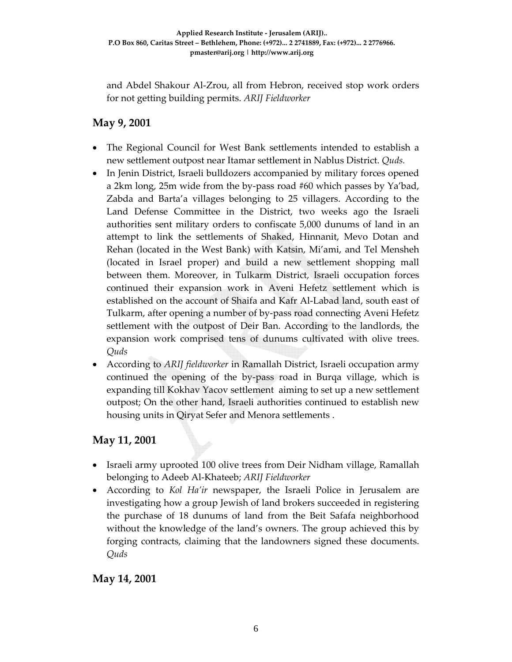and Abdel Shakour Al‐Zrou, all from Hebron, received stop work orders for not getting building permits. *ARIJ Fieldworker*

### **May 9, 2001**

- The Regional Council for West Bank settlements intended to establish a new settlement outpost near Itamar settlement in Nablus District. *Quds.*
- In Jenin District, Israeli bulldozers accompanied by military forces opened a 2km long, 25m wide from the by‐pass road #60 which passes by Ya'bad, Zabda and Barta'a villages belonging to 25 villagers. According to the Land Defense Committee in the District, two weeks ago the Israeli authorities sent military orders to confiscate 5,000 dunums of land in an attempt to link the settlements of Shaked, Hinnanit, Mevo Dotan and Rehan (located in the West Bank) with Katsin, Mi'ami, and Tel Mensheh (located in Israel proper) and build a new settlement shopping mall between them. Moreover, in Tulkarm District, Israeli occupation forces continued their expansion work in Aveni Hefetz settlement which is established on the account of Shaifa and Kafr Al‐Labad land, south east of Tulkarm, after opening a number of by‐pass road connecting Aveni Hefetz settlement with the outpost of Deir Ban. According to the landlords, the expansion work comprised tens of dunums cultivated with olive trees. *Quds*
- According to *ARIJ fieldworker* in Ramallah District, Israeli occupation army continued the opening of the by‐pass road in Burqa village, which is expanding till Kokhav Yacov settlement aiming to set up a new settlement outpost; On the other hand, Israeli authorities continued to establish new housing units in Qiryat Sefer and Menora settlements .

# **May 11, 2001**

- Israeli army uprooted 100 olive trees from Deir Nidham village, Ramallah belonging to Adeeb Al‐Khateeb; *ARIJ Fieldworker*
- According to *Kol Ha'ir* newspaper, the Israeli Police in Jerusalem are investigating how a group Jewish of land brokers succeeded in registering the purchase of 18 dunums of land from the Beit Safafa neighborhood without the knowledge of the land's owners. The group achieved this by forging contracts, claiming that the landowners signed these documents. *Quds*

### **May 14, 2001**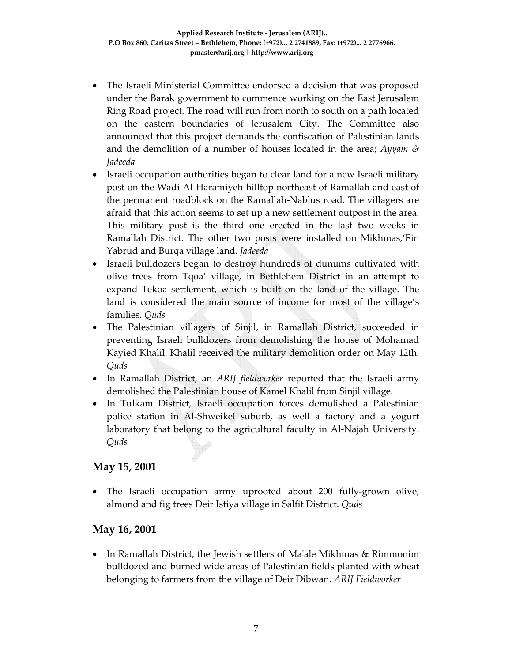- The Israeli Ministerial Committee endorsed a decision that was proposed under the Barak government to commence working on the East Jerusalem Ring Road project. The road will run from north to south on a path located on the eastern boundaries of Jerusalem City. The Committee also announced that this project demands the confiscation of Palestinian lands and the demolition of a number of houses located in the area; *Ayyam & Jadeeda*
- Israeli occupation authorities began to clear land for a new Israeli military post on the Wadi Al Haramiyeh hilltop northeast of Ramallah and east of the permanent roadblock on the Ramallah‐Nablus road. The villagers are afraid that this action seems to set up a new settlement outpost in the area. This military post is the third one erected in the last two weeks in Ramallah District. The other two posts were installed on Mikhmas,'Ein Yabrud and Burqa village land. *Jadeeda*
- Israeli bulldozers began to destroy hundreds of dunums cultivated with olive trees from Tqoa' village, in Bethlehem District in an attempt to expand Tekoa settlement, which is built on the land of the village. The land is considered the main source of income for most of the village's families. *Quds*
- The Palestinian villagers of Sinjil, in Ramallah District, succeeded in preventing Israeli bulldozers from demolishing the house of Mohamad Kayied Khalil. Khalil received the military demolition order on May 12th. *Quds*
- In Ramallah District, an *ARIJ fieldworker* reported that the Israeli army demolished the Palestinian house of Kamel Khalil from Sinjil village.
- In Tulkam District, Israeli occupation forces demolished a Palestinian police station in Al‐Shweikel suburb, as well a factory and a yogurt laboratory that belong to the agricultural faculty in Al‐Najah University. *Quds*

### **May 15, 2001**

The Israeli occupation army uprooted about 200 fully-grown olive, almond and fig trees Deir Istiya village in Salfit District. *Quds*

### **May 16, 2001**

• In Ramallah District, the Jewish settlers of Ma'ale Mikhmas & Rimmonim bulldozed and burned wide areas of Palestinian fields planted with wheat belonging to farmers from the village of Deir Dibwan. *ARIJ Fieldworker*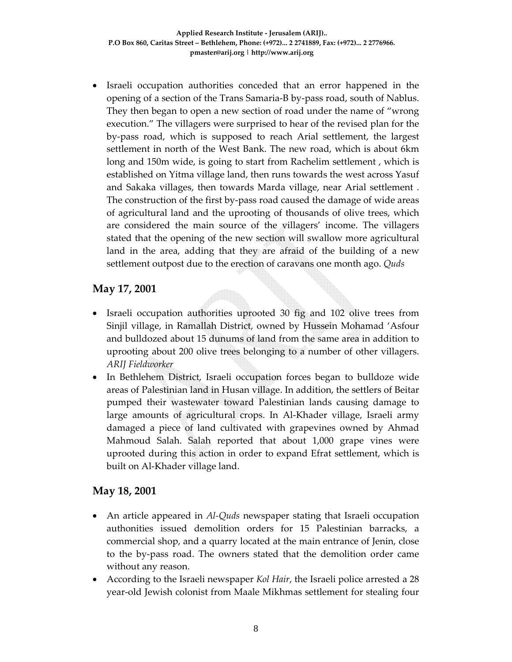• Israeli occupation authorities conceded that an error happened in the opening of a section of the Trans Samaria‐B by‐pass road, south of Nablus. They then began to open a new section of road under the name of "wrong execution." The villagers were surprised to hear of the revised plan for the by‐pass road, which is supposed to reach Arial settlement, the largest settlement in north of the West Bank. The new road, which is about 6km long and 150m wide, is going to start from Rachelim settlement , which is established on Yitma village land, then runs towards the west across Yasuf and Sakaka villages, then towards Marda village, near Arial settlement . The construction of the first by‐pass road caused the damage of wide areas of agricultural land and the uprooting of thousands of olive trees, which are considered the main source of the villagers' income. The villagers stated that the opening of the new section will swallow more agricultural land in the area, adding that they are afraid of the building of a new settlement outpost due to the erection of caravans one month ago. *Quds*

### **May 17, 2001**

- Israeli occupation authorities uprooted 30 fig and 102 olive trees from Sinjil village, in Ramallah District, owned by Hussein Mohamad 'Asfour and bulldozed about 15 dunums of land from the same area in addition to uprooting about 200 olive trees belonging to a number of other villagers. *ARIJ Fieldworker*
- In Bethlehem District, Israeli occupation forces began to bulldoze wide areas of Palestinian land in Husan village. In addition, the settlers of Beitar pumped their wastewater toward Palestinian lands causing damage to large amounts of agricultural crops. In Al‐Khader village, Israeli army damaged a piece of land cultivated with grapevines owned by Ahmad Mahmoud Salah. Salah reported that about 1,000 grape vines were uprooted during this action in order to expand Efrat settlement, which is built on Al‐Khader village land.

### **May 18, 2001**

- An article appeared in *Al‐Quds* newspaper stating that Israeli occupation authonities issued demolition orders for 15 Palestinian barracks, a commercial shop, and a quarry located at the main entrance of Jenin, close to the by‐pass road. The owners stated that the demolition order came without any reason.
- According to the Israeli newspaper *Kol Hair*, the Israeli police arrested a 28 year‐old Jewish colonist from Maale Mikhmas settlement for stealing four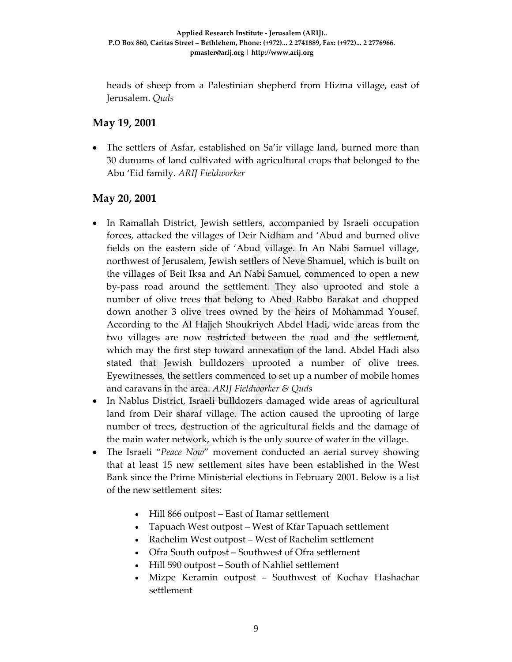heads of sheep from a Palestinian shepherd from Hizma village, east of Jerusalem. *Quds*

### **May 19, 2001**

• The settlers of Asfar, established on Sa'ir village land, burned more than 30 dunums of land cultivated with agricultural crops that belonged to the Abu 'Eid family. *ARIJ Fieldworker*

### **May 20, 2001**

- In Ramallah District, Jewish settlers, accompanied by Israeli occupation forces, attacked the villages of Deir Nidham and 'Abud and burned olive fields on the eastern side of 'Abud village. In An Nabi Samuel village, northwest of Jerusalem, Jewish settlers of Neve Shamuel, which is built on the villages of Beit Iksa and An Nabi Samuel, commenced to open a new by‐pass road around the settlement. They also uprooted and stole a number of olive trees that belong to Abed Rabbo Barakat and chopped down another 3 olive trees owned by the heirs of Mohammad Yousef. According to the Al Hajjeh Shoukriyeh Abdel Hadi, wide areas from the two villages are now restricted between the road and the settlement, which may the first step toward annexation of the land. Abdel Hadi also stated that Jewish bulldozers uprooted a number of olive trees. Eyewitnesses, the settlers commenced to set up a number of mobile homes and caravans in the area. *ARIJ Fieldworker & Quds*
- In Nablus District, Israeli bulldozers damaged wide areas of agricultural land from Deir sharaf village. The action caused the uprooting of large number of trees, destruction of the agricultural fields and the damage of the main water network, which is the only source of water in the village.
- The Israeli "*Peace Now*" movement conducted an aerial survey showing that at least 15 new settlement sites have been established in the West Bank since the Prime Ministerial elections in February 2001. Below is a list of the new settlement sites:
	- Hill 866 outpost East of Itamar settlement
	- Tapuach West outpost West of Kfar Tapuach settlement
	- Rachelim West outpost West of Rachelim settlement
	- Ofra South outpost Southwest of Ofra settlement
	- Hill 590 outpost South of Nahliel settlement
	- Mizpe Keramin outpost Southwest of Kochav Hashachar settlement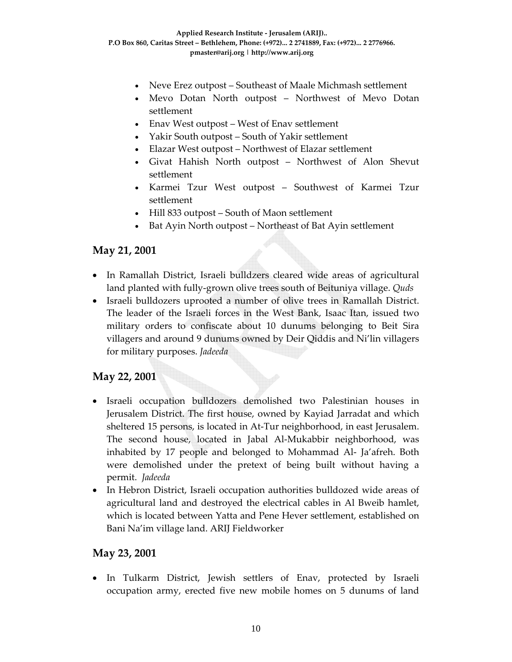- Neve Erez outpost Southeast of Maale Michmash settlement
- Mevo Dotan North outpost Northwest of Mevo Dotan settlement
- Enav West outpost West of Enav settlement
- Yakir South outpost South of Yakir settlement
- Elazar West outpost Northwest of Elazar settlement
- Givat Hahish North outpost Northwest of Alon Shevut settlement
- Karmei Tzur West outpost Southwest of Karmei Tzur settlement
- Hill 833 outpost South of Maon settlement
- Bat Ayin North outpost Northeast of Bat Ayin settlement

#### **May 21, 2001**

- In Ramallah District, Israeli bulldzers cleared wide areas of agricultural land planted with fully‐grown olive trees south of Beituniya village. *Quds*
- Israeli bulldozers uprooted a number of olive trees in Ramallah District. The leader of the Israeli forces in the West Bank, Isaac Itan, issued two military orders to confiscate about 10 dunums belonging to Beit Sira villagers and around 9 dunums owned by Deir Qiddis and Ni'lin villagers for military purposes. *Jadeeda*

### **May 22, 2001**

- Israeli occupation bulldozers demolished two Palestinian houses in Jerusalem District. The first house, owned by Kayiad Jarradat and which sheltered 15 persons, is located in At‐Tur neighborhood, in east Jerusalem. The second house, located in Jabal Al‐Mukabbir neighborhood, was inhabited by 17 people and belonged to Mohammad Al‐ Ja'afreh. Both were demolished under the pretext of being built without having a permit. *Jadeeda*
- In Hebron District, Israeli occupation authorities bulldozed wide areas of agricultural land and destroyed the electrical cables in Al Bweib hamlet, which is located between Yatta and Pene Hever settlement, established on Bani Na'im village land. ARIJ Fieldworker

### **May 23, 2001**

• In Tulkarm District, Jewish settlers of Enav, protected by Israeli occupation army, erected five new mobile homes on 5 dunums of land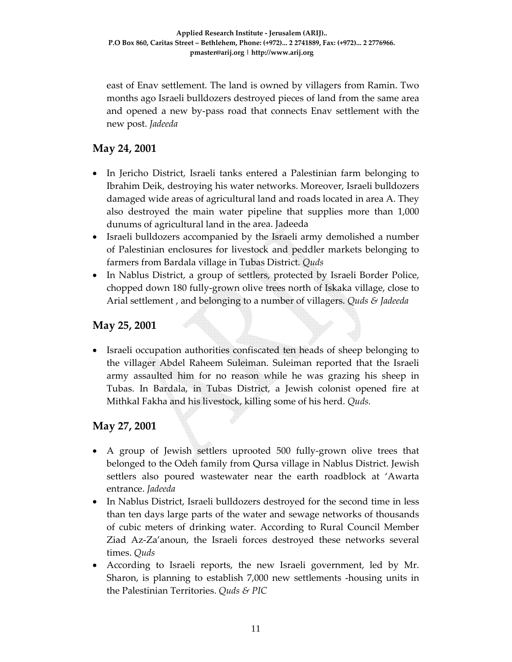east of Enav settlement. The land is owned by villagers from Ramin. Two months ago Israeli bulldozers destroyed pieces of land from the same area and opened a new by‐pass road that connects Enav settlement with the new post. *Jadeeda*

### **May 24, 2001**

- In Jericho District, Israeli tanks entered a Palestinian farm belonging to Ibrahim Deik, destroying his water networks. Moreover, Israeli bulldozers damaged wide areas of agricultural land and roads located in area A. They also destroyed the main water pipeline that supplies more than 1,000 dunums of agricultural land in the area. Jadeeda
- Israeli bulldozers accompanied by the Israeli army demolished a number of Palestinian enclosures for livestock and peddler markets belonging to farmers from Bardala village in Tubas District. *Quds*
- In Nablus District, a group of settlers, protected by Israeli Border Police, chopped down 180 fully‐grown olive trees north of Iskaka village, close to Arial settlement , and belonging to a number of villagers. *Quds & Jadeeda*

#### **May 25, 2001**

• Israeli occupation authorities confiscated ten heads of sheep belonging to the villager Abdel Raheem Suleiman. Suleiman reported that the Israeli army assaulted him for no reason while he was grazing his sheep in Tubas. In Bardala, in Tubas District, a Jewish colonist opened fire at Mithkal Fakha and his livestock, killing some of his herd. *Quds.*

#### **May 27, 2001**

- A group of Jewish settlers uprooted 500 fully‐grown olive trees that belonged to the Odeh family from Qursa village in Nablus District. Jewish settlers also poured wastewater near the earth roadblock at 'Awarta entrance. *Jadeeda*
- In Nablus District, Israeli bulldozers destroyed for the second time in less than ten days large parts of the water and sewage networks of thousands of cubic meters of drinking water. According to Rural Council Member Ziad Az‐Za'anoun, the Israeli forces destroyed these networks several times. *Quds*
- According to Israeli reports, the new Israeli government, led by Mr. Sharon, is planning to establish 7,000 new settlements ‐housing units in the Palestinian Territories. *Quds & PIC*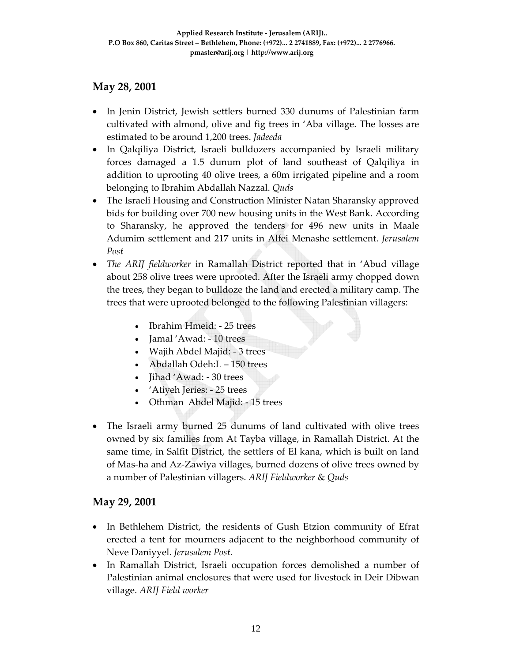#### **May 28, 2001**

- In Jenin District, Jewish settlers burned 330 dunums of Palestinian farm cultivated with almond, olive and fig trees in 'Aba village. The losses are estimated to be around 1,200 trees. *Jadeeda*
- In Qalqiliya District, Israeli bulldozers accompanied by Israeli military forces damaged a 1.5 dunum plot of land southeast of Qalqiliya in addition to uprooting 40 olive trees, a 60m irrigated pipeline and a room belonging to Ibrahim Abdallah Nazzal. *Quds*
- The Israeli Housing and Construction Minister Natan Sharansky approved bids for building over 700 new housing units in the West Bank. According to Sharansky, he approved the tenders for 496 new units in Maale Adumim settlement and 217 units in Alfei Menashe settlement. *Jerusalem Post*
- *The ARIJ fieldworker* in Ramallah District reported that in 'Abud village about 258 olive trees were uprooted. After the Israeli army chopped down the trees, they began to bulldoze the land and erected a military camp. The trees that were uprooted belonged to the following Palestinian villagers:
	- Ibrahim Hmeid: ‐ 25 trees
	- Jamal 'Awad: 10 trees
	- Wajih Abdel Majid: 3 trees
	- Abdallah Odeh:L 150 trees
	- Jihad 'Awad: 30 trees
	- 'Atiyeh Jeries: 25 trees
	- Othman Abdel Majid: 15 trees
- The Israeli army burned 25 dunums of land cultivated with olive trees owned by six families from At Tayba village, in Ramallah District. At the same time, in Salfit District, the settlers of El kana, which is built on land of Mas‐ha and Az‐Zawiya villages, burned dozens of olive trees owned by a number of Palestinian villagers. *ARIJ Fieldworker* & *Quds*

#### **May 29, 2001**

- In Bethlehem District, the residents of Gush Etzion community of Efrat erected a tent for mourners adjacent to the neighborhood community of Neve Daniyyel. *Jerusalem Post.*
- In Ramallah District, Israeli occupation forces demolished a number of Palestinian animal enclosures that were used for livestock in Deir Dibwan village. *ARIJ Field worker*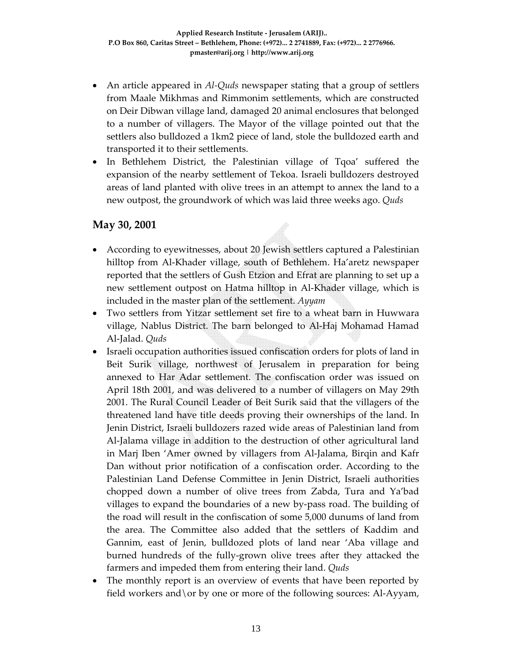- An article appeared in *Al*-*Quds* newspaper stating that a group of settlers from Maale Mikhmas and Rimmonim settlements, which are constructed on Deir Dibwan village land, damaged 20 animal enclosures that belonged to a number of villagers. The Mayor of the village pointed out that the settlers also bulldozed a 1km2 piece of land, stole the bulldozed earth and transported it to their settlements.
- In Bethlehem District, the Palestinian village of Tqoa' suffered the expansion of the nearby settlement of Tekoa. Israeli bulldozers destroyed areas of land planted with olive trees in an attempt to annex the land to a new outpost, the groundwork of which was laid three weeks ago. *Quds*

#### **May 30, 2001**

- According to eyewitnesses, about 20 Jewish settlers captured a Palestinian hilltop from Al-Khader village, south of Bethlehem. Ha'aretz newspaper reported that the settlers of Gush Etzion and Efrat are planning to set up a new settlement outpost on Hatma hilltop in Al‐Khader village, which is included in the master plan of the settlement. *Ayyam*
- Two settlers from Yitzar settlement set fire to a wheat barn in Huwwara village, Nablus District. The barn belonged to Al‐Haj Mohamad Hamad Al‐Jalad. *Quds*
- Israeli occupation authorities issued confiscation orders for plots of land in Beit Surik village, northwest of Jerusalem in preparation for being annexed to Har Adar settlement. The confiscation order was issued on April 18th 2001, and was delivered to a number of villagers on May 29th 2001. The Rural Council Leader of Beit Surik said that the villagers of the threatened land have title deeds proving their ownerships of the land. In Jenin District, Israeli bulldozers razed wide areas of Palestinian land from Al‐Jalama village in addition to the destruction of other agricultural land in Marj Iben 'Amer owned by villagers from Al‐Jalama, Birqin and Kafr Dan without prior notification of a confiscation order. According to the Palestinian Land Defense Committee in Jenin District, Israeli authorities chopped down a number of olive trees from Zabda, Tura and Ya'bad villages to expand the boundaries of a new by‐pass road. The building of the road will result in the confiscation of some 5,000 dunums of land from the area. The Committee also added that the settlers of Kaddim and Gannim, east of Jenin, bulldozed plots of land near 'Aba village and burned hundreds of the fully‐grown olive trees after they attacked the farmers and impeded them from entering their land. *Quds*
- The monthly report is an overview of events that have been reported by field workers and \or by one or more of the following sources: Al-Ayyam,